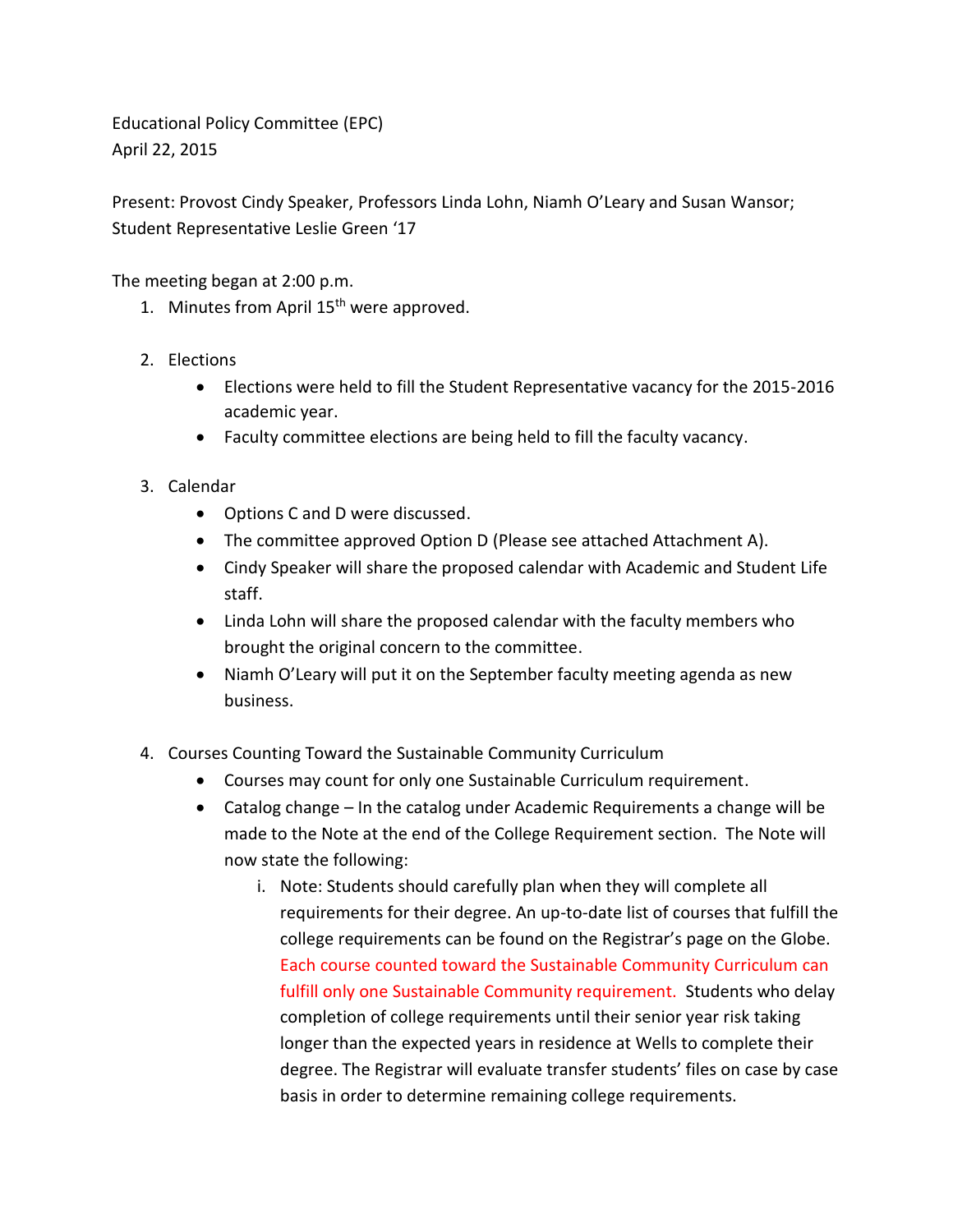Educational Policy Committee (EPC) April 22, 2015

Present: Provost Cindy Speaker, Professors Linda Lohn, Niamh O'Leary and Susan Wansor; Student Representative Leslie Green '17

The meeting began at 2:00 p.m.

- 1. Minutes from April  $15<sup>th</sup>$  were approved.
- 2. Elections
	- Elections were held to fill the Student Representative vacancy for the 2015-2016 academic year.
	- Faculty committee elections are being held to fill the faculty vacancy.
- 3. Calendar
	- Options C and D were discussed.
	- The committee approved Option D (Please see attached Attachment A).
	- Cindy Speaker will share the proposed calendar with Academic and Student Life staff.
	- Linda Lohn will share the proposed calendar with the faculty members who brought the original concern to the committee.
	- Niamh O'Leary will put it on the September faculty meeting agenda as new business.
- 4. Courses Counting Toward the Sustainable Community Curriculum
	- Courses may count for only one Sustainable Curriculum requirement.
	- Catalog change In the catalog under Academic Requirements a change will be made to the Note at the end of the College Requirement section. The Note will now state the following:
		- i. Note: Students should carefully plan when they will complete all requirements for their degree. An up-to-date list of courses that fulfill the college requirements can be found on the Registrar's page on the Globe. Each course counted toward the Sustainable Community Curriculum can fulfill only one Sustainable Community requirement. Students who delay completion of college requirements until their senior year risk taking longer than the expected years in residence at Wells to complete their degree. The Registrar will evaluate transfer students' files on case by case basis in order to determine remaining college requirements.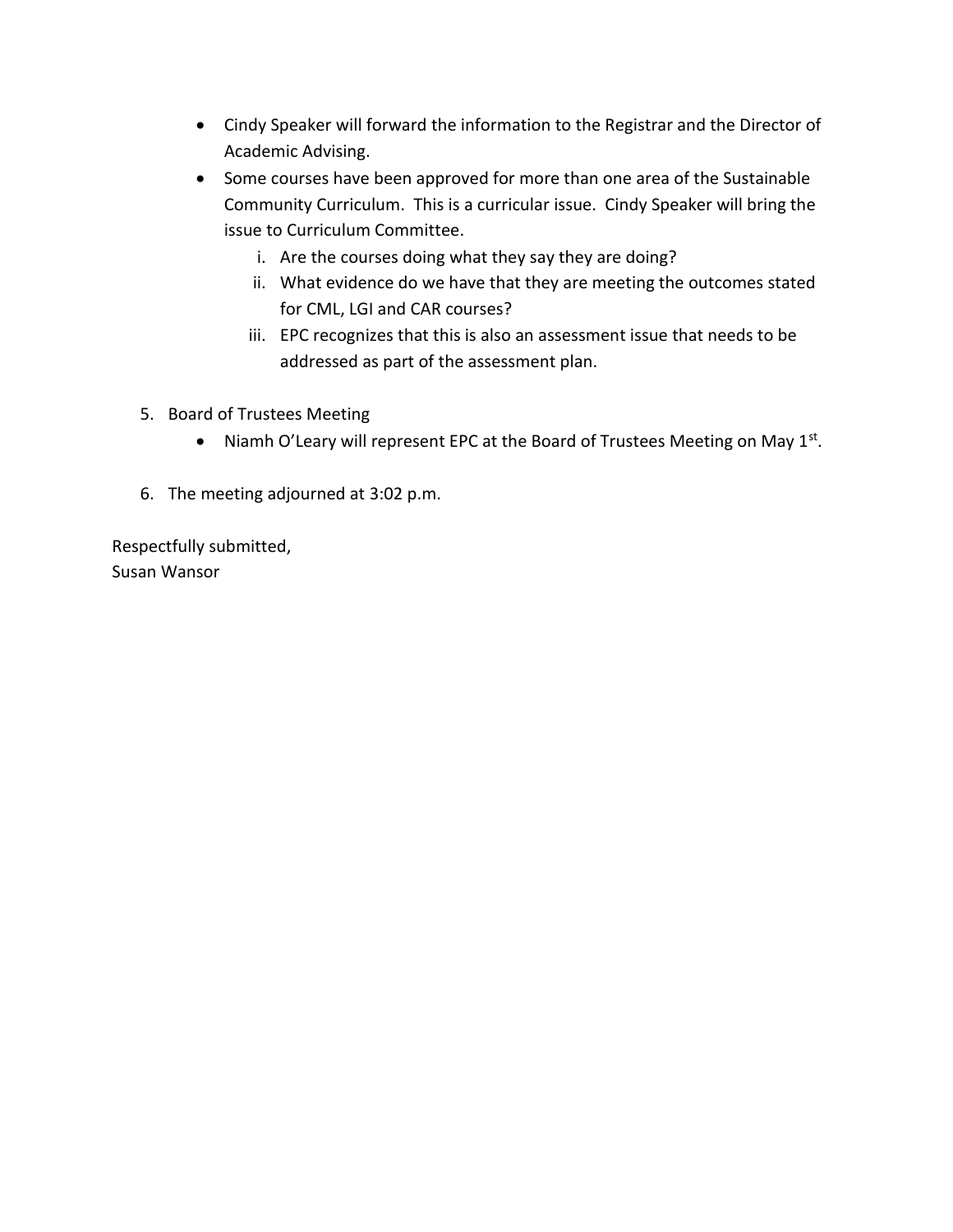- Cindy Speaker will forward the information to the Registrar and the Director of Academic Advising.
- Some courses have been approved for more than one area of the Sustainable Community Curriculum. This is a curricular issue. Cindy Speaker will bring the issue to Curriculum Committee.
	- i. Are the courses doing what they say they are doing?
	- ii. What evidence do we have that they are meeting the outcomes stated for CML, LGI and CAR courses?
	- iii. EPC recognizes that this is also an assessment issue that needs to be addressed as part of the assessment plan.
- 5. Board of Trustees Meeting
	- Niamh O'Leary will represent EPC at the Board of Trustees Meeting on May  $1^{st}$ .
- 6. The meeting adjourned at 3:02 p.m.

Respectfully submitted, Susan Wansor